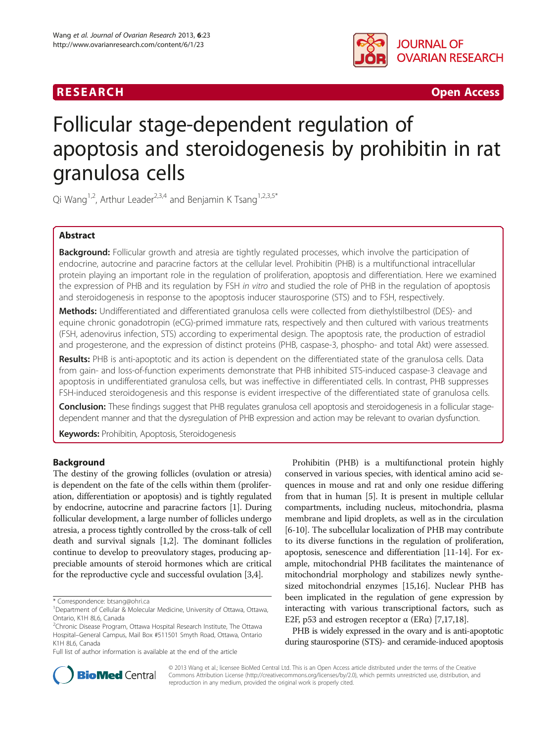## R E S EAR CH Open Access



# Follicular stage-dependent regulation of apoptosis and steroidogenesis by prohibitin in rat granulosa cells

Qi Wang<sup>1,2</sup>, Arthur Leader<sup>2,3,4</sup> and Benjamin K Tsang<sup>1,2,3,5\*</sup>

## Abstract

Background: Follicular growth and atresia are tightly regulated processes, which involve the participation of endocrine, autocrine and paracrine factors at the cellular level. Prohibitin (PHB) is a multifunctional intracellular protein playing an important role in the regulation of proliferation, apoptosis and differentiation. Here we examined the expression of PHB and its regulation by FSH in vitro and studied the role of PHB in the regulation of apoptosis and steroidogenesis in response to the apoptosis inducer staurosporine (STS) and to FSH, respectively.

Methods: Undifferentiated and differentiated granulosa cells were collected from diethylstilbestrol (DES)- and equine chronic gonadotropin (eCG)-primed immature rats, respectively and then cultured with various treatments (FSH, adenovirus infection, STS) according to experimental design. The apoptosis rate, the production of estradiol and progesterone, and the expression of distinct proteins (PHB, caspase-3, phospho- and total Akt) were assessed.

Results: PHB is anti-apoptotic and its action is dependent on the differentiated state of the granulosa cells. Data from gain- and loss-of-function experiments demonstrate that PHB inhibited STS-induced caspase-3 cleavage and apoptosis in undifferentiated granulosa cells, but was ineffective in differentiated cells. In contrast, PHB suppresses FSH-induced steroidogenesis and this response is evident irrespective of the differentiated state of granulosa cells.

Conclusion: These findings suggest that PHB regulates granulosa cell apoptosis and steroidogenesis in a follicular stagedependent manner and that the dysregulation of PHB expression and action may be relevant to ovarian dysfunction.

Keywords: Prohibitin, Apoptosis, Steroidogenesis

#### Background

The destiny of the growing follicles (ovulation or atresia) is dependent on the fate of the cells within them (proliferation, differentiation or apoptosis) and is tightly regulated by endocrine, autocrine and paracrine factors [[1](#page-8-0)]. During follicular development, a large number of follicles undergo atresia, a process tightly controlled by the cross-talk of cell death and survival signals [\[1,2\]](#page-8-0). The dominant follicles continue to develop to preovulatory stages, producing appreciable amounts of steroid hormones which are critical for the reproductive cycle and successful ovulation [\[3,4](#page-8-0)].

Full list of author information is available at the end of the article

Prohibitin (PHB) is a multifunctional protein highly conserved in various species, with identical amino acid sequences in mouse and rat and only one residue differing from that in human [[5\]](#page-8-0). It is present in multiple cellular compartments, including nucleus, mitochondria, plasma membrane and lipid droplets, as well as in the circulation [[6-10\]](#page-8-0). The subcellular localization of PHB may contribute to its diverse functions in the regulation of proliferation, apoptosis, senescence and differentiation [\[11](#page-8-0)[-14\]](#page-9-0). For example, mitochondrial PHB facilitates the maintenance of mitochondrial morphology and stabilizes newly synthesized mitochondrial enzymes [\[15,16\]](#page-9-0). Nuclear PHB has been implicated in the regulation of gene expression by interacting with various transcriptional factors, such as E2F, p53 and estrogen receptor  $\alpha$  (ER $\alpha$ ) [[7,](#page-8-0)[17,18](#page-9-0)].

PHB is widely expressed in the ovary and is anti-apoptotic during staurosporine (STS)- and ceramide-induced apoptosis



© 2013 Wang et al.; licensee BioMed Central Ltd. This is an Open Access article distributed under the terms of the Creative Commons Attribution License [\(http://creativecommons.org/licenses/by/2.0\)](http://creativecommons.org/licenses/by/2.0), which permits unrestricted use, distribution, and reproduction in any medium, provided the original work is properly cited.

<sup>\*</sup> Correspondence: [btsang@ohri.ca](mailto:btsang@ohri.ca) <sup>1</sup>

<sup>&</sup>lt;sup>1</sup>Department of Cellular & Molecular Medicine, University of Ottawa, Ottawa, Ontario, K1H 8L6, Canada

<sup>&</sup>lt;sup>2</sup>Chronic Disease Program, Ottawa Hospital Research Institute, The Ottawa Hospital–General Campus, Mail Box #511501 Smyth Road, Ottawa, Ontario K1H 8L6, Canada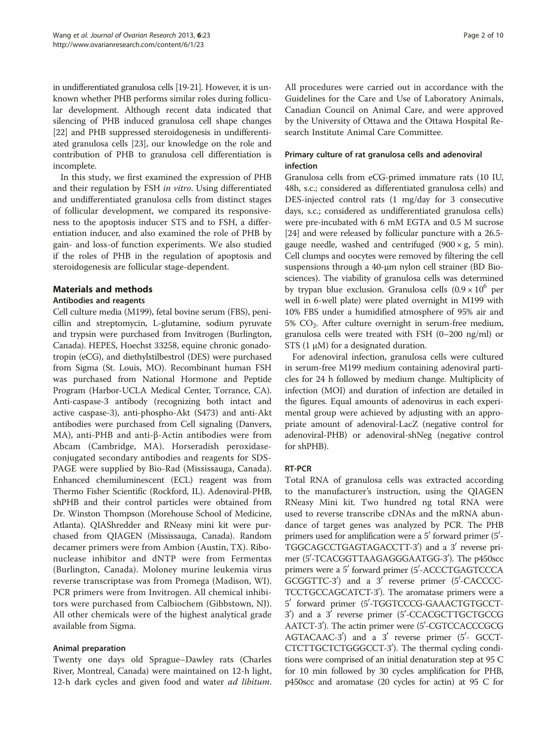in undifferentiated granulosa cells [[19-21](#page-9-0)]. However, it is unknown whether PHB performs similar roles during follicular development. Although recent data indicated that silencing of PHB induced granulosa cell shape changes [[22](#page-9-0)] and PHB suppressed steroidogenesis in undifferentiated granulosa cells [[23](#page-9-0)], our knowledge on the role and contribution of PHB to granulosa cell differentiation is incomplete.

In this study, we first examined the expression of PHB and their regulation by FSH in vitro. Using differentiated and undifferentiated granulosa cells from distinct stages of follicular development, we compared its responsiveness to the apoptosis inducer STS and to FSH, a differentiation inducer, and also examined the role of PHB by gain- and loss-of function experiments. We also studied if the roles of PHB in the regulation of apoptosis and steroidogenesis are follicular stage-dependent.

### Materials and methods

## Antibodies and reagents

Cell culture media (M199), fetal bovine serum (FBS), penicillin and streptomycin, L-glutamine, sodium pyruvate and trypsin were purchased from Invitrogen (Burlington, Canada). HEPES, Hoechst 33258, equine chronic gonadotropin (eCG), and diethylstilbestrol (DES) were purchased from Sigma (St. Louis, MO). Recombinant human FSH was purchased from National Hormone and Peptide Program (Harbor-UCLA Medical Center, Torrance, CA). Anti-caspase-3 antibody (recognizing both intact and active caspase-3), anti-phospho-Akt (S473) and anti-Akt antibodies were purchased from Cell signaling (Danvers, MA), anti-PHB and anti-β-Actin antibodies were from Abcam (Cambridge, MA). Horseradish peroxidaseconjugated secondary antibodies and reagents for SDS-PAGE were supplied by Bio-Rad (Mississauga, Canada). Enhanced chemiluminescent (ECL) reagent was from Thermo Fisher Scientific (Rockford, IL). Adenoviral-PHB, shPHB and their control particles were obtained from Dr. Winston Thompson (Morehouse School of Medicine, Atlanta). QIAShredder and RNeasy mini kit were purchased from QIAGEN (Mississauga, Canada). Random decamer primers were from Ambion (Austin, TX). Ribonuclease inhibitor and dNTP were from Fermentas (Burlington, Canada). Moloney murine leukemia virus reverse transcriptase was from Promega (Madison, WI). PCR primers were from Invitrogen. All chemical inhibitors were purchased from Calbiochem (Gibbstown, NJ). All other chemicals were of the highest analytical grade available from Sigma.

#### Animal preparation

Twenty one days old Sprague–Dawley rats (Charles River, Montreal, Canada) were maintained on 12-h light, 12-h dark cycles and given food and water *ad libitum*.

All procedures were carried out in accordance with the Guidelines for the Care and Use of Laboratory Animals, Canadian Council on Animal Care, and were approved by the University of Ottawa and the Ottawa Hospital Research Institute Animal Care Committee.

## Primary culture of rat granulosa cells and adenoviral infection

Granulosa cells from eCG-primed immature rats (10 IU, 48h, s.c.; considered as differentiated granulosa cells) and DES-injected control rats (1 mg/day for 3 consecutive days, s.c.; considered as undifferentiated granulosa cells) were pre-incubated with 6 mM EGTA and 0.5 M sucrose [[24](#page-9-0)] and were released by follicular puncture with a 26.5 gauge needle, washed and centrifuged  $(900 \times g, 5 \text{ min})$ . Cell clumps and oocytes were removed by filtering the cell suspensions through a 40-μm nylon cell strainer (BD Biosciences). The viability of granulosa cells was determined by trypan blue exclusion. Granulosa cells  $(0.9 \times 10^6$  per well in 6-well plate) were plated overnight in M199 with 10% FBS under a humidified atmosphere of 95% air and  $5\%$  CO<sub>2</sub>. After culture overnight in serum-free medium, granulosa cells were treated with FSH (0–200 ng/ml) or STS  $(1 \mu M)$  for a designated duration.

For adenoviral infection, granulosa cells were cultured in serum-free M199 medium containing adenoviral particles for 24 h followed by medium change. Multiplicity of infection (MOI) and duration of infection are detailed in the figures. Equal amounts of adenovirus in each experimental group were achieved by adjusting with an appropriate amount of adenoviral-LacZ (negative control for adenoviral-PHB) or adenoviral-shNeg (negative control for shPHB).

## RT-PCR

Total RNA of granulosa cells was extracted according to the manufacturer's instruction, using the QIAGEN RNeasy Mini kit. Two hundred ng total RNA were used to reverse transcribe cDNAs and the mRNA abundance of target genes was analyzed by PCR. The PHB primers used for amplification were a  $5'$  forward primer  $(5'$ -TGGCAGCCTGAGTAGACCTT-3') and a 3' reverse primer (5'-TCACGGTTAAGAGGGAATGG-3'). The p450scc primers were a 5' forward primer (5'-ACCCTGAGTCCCA  $GCGGTTC-3'$  and a 3' reverse primer  $(5'-CACCCC-$ TCCTGCCAGCATCT-3'). The aromatase primers were a 5' forward primer (5'-TGGTCCCG-GAAACTGTGCCT-3<sup>'</sup>) and a 3<sup>'</sup> reverse primer (5'-CCACGCTTGCTGCCG AATCT-3'). The actin primer were (5'-CGTCCACCCGCG  $AGTACAAC-3'$  and a 3' reverse primer (5'- GCCT-CTCTTGCTCTGGGCCT-3'). The thermal cycling conditions were comprised of an initial denaturation step at 95 C for 10 min followed by 30 cycles amplification for PHB, p450scc and aromatase (20 cycles for actin) at 95 C for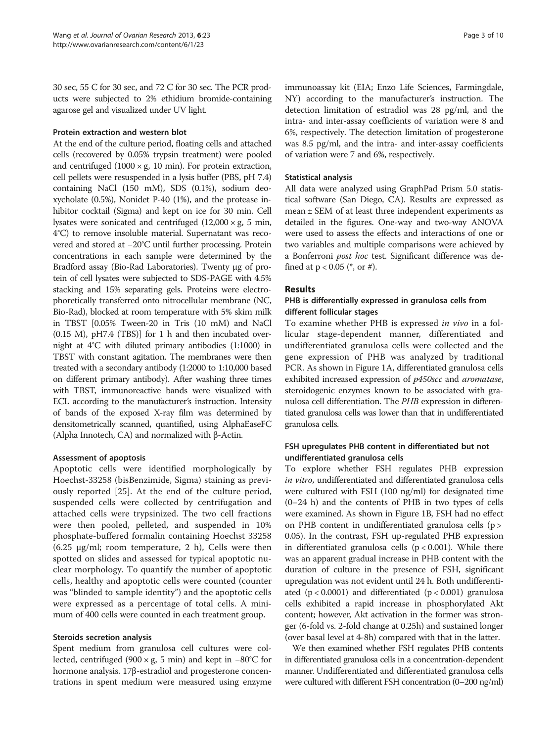30 sec, 55 C for 30 sec, and 72 C for 30 sec. The PCR products were subjected to 2% ethidium bromide-containing agarose gel and visualized under UV light.

#### Protein extraction and western blot

At the end of the culture period, floating cells and attached cells (recovered by 0.05% trypsin treatment) were pooled and centrifuged  $(1000 \times g, 10 \text{ min})$ . For protein extraction, cell pellets were resuspended in a lysis buffer (PBS, pH 7.4) containing NaCl (150 mM), SDS (0.1%), sodium deoxycholate (0.5%), Nonidet P-40 (1%), and the protease inhibitor cocktail (Sigma) and kept on ice for 30 min. Cell lysates were sonicated and centrifuged  $(12,000 \times g, 5 \text{ min},$ 4°C) to remove insoluble material. Supernatant was recovered and stored at −20°C until further processing. Protein concentrations in each sample were determined by the Bradford assay (Bio-Rad Laboratories). Twenty μg of protein of cell lysates were subjected to SDS-PAGE with 4.5% stacking and 15% separating gels. Proteins were electrophoretically transferred onto nitrocellular membrane (NC, Bio-Rad), blocked at room temperature with 5% skim milk in TBST [0.05% Tween-20 in Tris (10 mM) and NaCl (0.15 M), pH7.4 (TBS)] for 1 h and then incubated overnight at 4°C with diluted primary antibodies (1:1000) in TBST with constant agitation. The membranes were then treated with a secondary antibody (1:2000 to 1:10,000 based on different primary antibody). After washing three times with TBST, immunoreactive bands were visualized with ECL according to the manufacturer's instruction. Intensity of bands of the exposed X-ray film was determined by densitometrically scanned, quantified, using AlphaEaseFC (Alpha Innotech, CA) and normalized with β-Actin.

#### Assessment of apoptosis

Apoptotic cells were identified morphologically by Hoechst-33258 (bisBenzimide, Sigma) staining as previously reported [[25\]](#page-9-0). At the end of the culture period, suspended cells were collected by centrifugation and attached cells were trypsinized. The two cell fractions were then pooled, pelleted, and suspended in 10% phosphate-buffered formalin containing Hoechst 33258 (6.25 μg/ml; room temperature, 2 h), Cells were then spotted on slides and assessed for typical apoptotic nuclear morphology. To quantify the number of apoptotic cells, healthy and apoptotic cells were counted (counter was "blinded to sample identity") and the apoptotic cells were expressed as a percentage of total cells. A minimum of 400 cells were counted in each treatment group.

#### Steroids secretion analysis

Spent medium from granulosa cell cultures were collected, centrifuged (900 × g, 5 min) and kept in −80°C for hormone analysis. 17β-estradiol and progesterone concentrations in spent medium were measured using enzyme immunoassay kit (EIA; Enzo Life Sciences, Farmingdale, NY) according to the manufacturer's instruction. The detection limitation of estradiol was 28 pg/ml, and the intra- and inter-assay coefficients of variation were 8 and 6%, respectively. The detection limitation of progesterone was 8.5 pg/ml, and the intra- and inter-assay coefficients of variation were 7 and 6%, respectively.

#### Statistical analysis

All data were analyzed using GraphPad Prism 5.0 statistical software (San Diego, CA). Results are expressed as mean ± SEM of at least three independent experiments as detailed in the figures. One-way and two-way ANOVA were used to assess the effects and interactions of one or two variables and multiple comparisons were achieved by a Bonferroni post hoc test. Significant difference was defined at  $p < 0.05$  (\*, or #).

#### Results

#### PHB is differentially expressed in granulosa cells from different follicular stages

To examine whether PHB is expressed in vivo in a follicular stage-dependent manner, differentiated and undifferentiated granulosa cells were collected and the gene expression of PHB was analyzed by traditional PCR. As shown in Figure [1A](#page-3-0), differentiated granulosa cells exhibited increased expression of p450scc and aromatase, steroidogenic enzymes known to be associated with granulosa cell differentiation. The PHB expression in differentiated granulosa cells was lower than that in undifferentiated granulosa cells.

#### FSH upregulates PHB content in differentiated but not undifferentiated granulosa cells

To explore whether FSH regulates PHB expression in vitro, undifferentiated and differentiated granulosa cells were cultured with FSH (100 ng/ml) for designated time (0–24 h) and the contents of PHB in two types of cells were examined. As shown in Figure [1B](#page-3-0), FSH had no effect on PHB content in undifferentiated granulosa cells (p > 0.05). In the contrast, FSH up-regulated PHB expression in differentiated granulosa cells (p < 0.001). While there was an apparent gradual increase in PHB content with the duration of culture in the presence of FSH, significant upregulation was not evident until 24 h. Both undifferentiated  $(p < 0.0001)$  and differentiated  $(p < 0.001)$  granulosa cells exhibited a rapid increase in phosphorylated Akt content; however, Akt activation in the former was stronger (6-fold vs. 2-fold change at 0.25h) and sustained longer (over basal level at 4-8h) compared with that in the latter.

We then examined whether FSH regulates PHB contents in differentiated granulosa cells in a concentration-dependent manner. Undifferentiated and differentiated granulosa cells were cultured with different FSH concentration (0–200 ng/ml)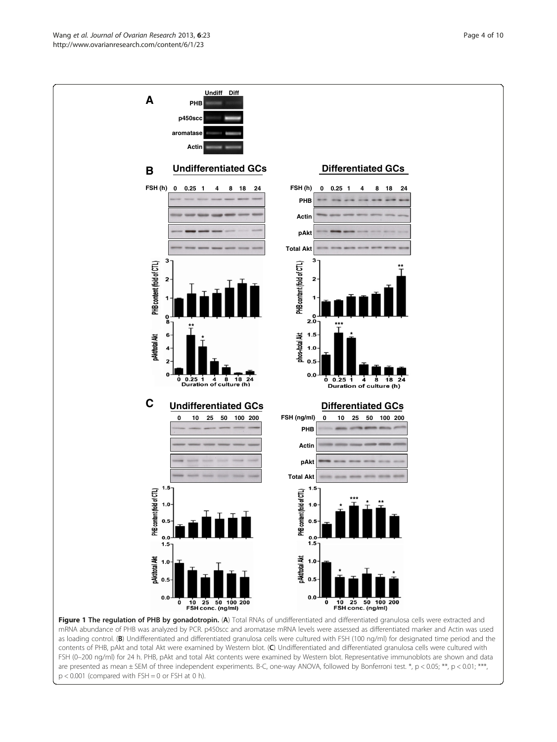<span id="page-3-0"></span>

Figure 1 The regulation of PHB by gonadotropin. (A) Total RNAs of undifferentiated and differentiated granulosa cells were extracted and mRNA abundance of PHB was analyzed by PCR. p450scc and aromatase mRNA levels were assessed as differentiated marker and Actin was used as loading control. (B) Undifferentiated and differentiated granulosa cells were cultured with FSH (100 ng/ml) for designated time period and the contents of PHB, pAkt and total Akt were examined by Western blot. (C) Undifferentiated and differentiated granulosa cells were cultured with FSH (0–200 ng/ml) for 24 h. PHB, pAkt and total Akt contents were examined by Western blot. Representative immunoblots are shown and data are presented as mean ± SEM of three independent experiments. B-C, one-way ANOVA, followed by Bonferroni test. \*, p < 0.05; \*\*, p < 0.01; \*\*\*,  $p < 0.001$  (compared with FSH = 0 or FSH at 0 h).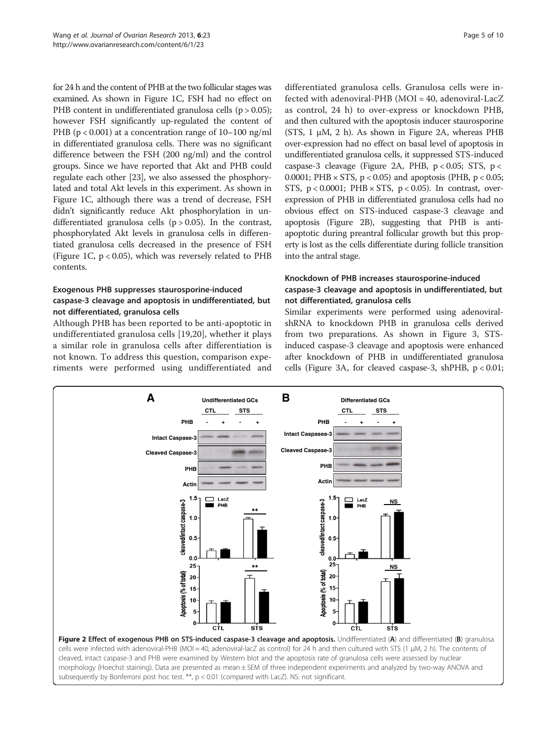for 24 h and the content of PHB at the two follicular stages was examined. As shown in Figure [1](#page-3-0)C, FSH had no effect on PHB content in undifferentiated granulosa cells ( $p > 0.05$ ); however FSH significantly up-regulated the content of PHB ( $p < 0.001$ ) at a concentration range of 10–100 ng/ml in differentiated granulosa cells. There was no significant difference between the FSH (200 ng/ml) and the control groups. Since we have reported that Akt and PHB could regulate each other [\[23\]](#page-9-0), we also assessed the phosphorylated and total Akt levels in this experiment. As shown in Figure [1C](#page-3-0), although there was a trend of decrease, FSH didn't significantly reduce Akt phosphorylation in undifferentiated granulosa cells  $(p > 0.05)$ . In the contrast, phosphorylated Akt levels in granulosa cells in differentiated granulosa cells decreased in the presence of FSH (Figure [1](#page-3-0)C, p < 0.05), which was reversely related to PHB contents.

## Exogenous PHB suppresses staurosporine-induced caspase-3 cleavage and apoptosis in undifferentiated, but not differentiated, granulosa cells

Although PHB has been reported to be anti-apoptotic in undifferentiated granulosa cells [[19,20\]](#page-9-0), whether it plays a similar role in granulosa cells after differentiation is not known. To address this question, comparison experiments were performed using undifferentiated and

differentiated granulosa cells. Granulosa cells were infected with adenoviral-PHB (MOI = 40, adenoviral-LacZ as control, 24 h) to over-express or knockdown PHB, and then cultured with the apoptosis inducer staurosporine (STS,  $1 \mu M$ ,  $2 \ h$ ). As shown in Figure 2A, whereas PHB over-expression had no effect on basal level of apoptosis in undifferentiated granulosa cells, it suppressed STS-induced caspase-3 cleavage (Figure 2A, PHB,  $p < 0.05$ ; STS,  $p <$ 0.0001; PHB  $\times$  STS, p < 0.05) and apoptosis (PHB, p < 0.05; STS,  $p < 0.0001$ ; PHB  $\times$  STS,  $p < 0.05$ ). In contrast, overexpression of PHB in differentiated granulosa cells had no obvious effect on STS-induced caspase-3 cleavage and apoptosis (Figure 2B), suggesting that PHB is antiapoptotic during preantral follicular growth but this property is lost as the cells differentiate during follicle transition into the antral stage.

## Knockdown of PHB increases staurosporine-induced caspase-3 cleavage and apoptosis in undifferentiated, but not differentiated, granulosa cells

Similar experiments were performed using adenoviralshRNA to knockdown PHB in granulosa cells derived from two preparations. As shown in Figure [3](#page-5-0), STSinduced caspase-3 cleavage and apoptosis were enhanced after knockdown of PHB in undifferentiated granulosa cells (Figure [3A](#page-5-0), for cleaved caspase-3, shPHB, p < 0.01;



cleaved, intact caspase-3 and PHB were examined by Western blot and the apoptosis rate of granulosa cells were assessed by nuclear morphology (Hoechst staining). Data are presented as mean ± SEM of three independent experiments and analyzed by two-way ANOVA and subsequently by Bonferroni post hoc test. \*\*, p < 0.01 (compared with LacZ). NS: not significant.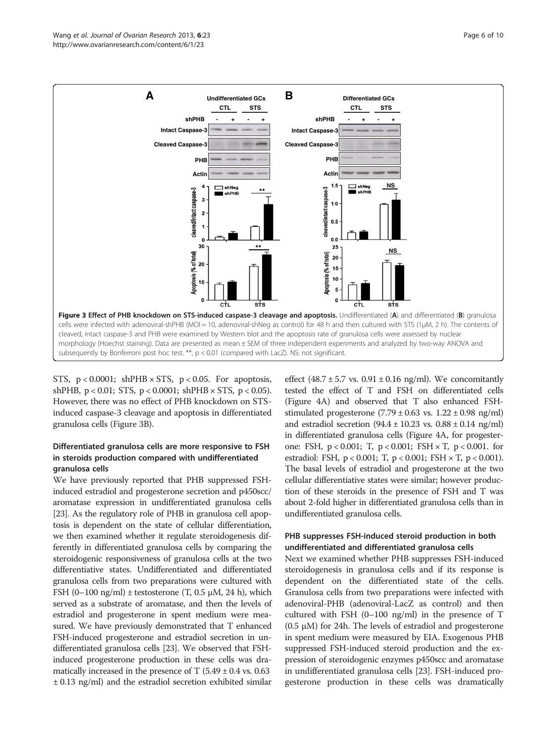<span id="page-5-0"></span>

STS,  $p < 0.0001$ ; shPHB  $\times$  STS,  $p < 0.05$ . For apoptosis, shPHB,  $p < 0.01$ ; STS,  $p < 0.0001$ ; shPHB  $\times$  STS,  $p < 0.05$ ). However, there was no effect of PHB knockdown on STSinduced caspase-3 cleavage and apoptosis in differentiated granulosa cells (Figure 3B).

## Differentiated granulosa cells are more responsive to FSH in steroids production compared with undifferentiated granulosa cells

We have previously reported that PHB suppressed FSHinduced estradiol and progesterone secretion and p450scc/ aromatase expression in undifferentiated granulosa cells [[23](#page-9-0)]. As the regulatory role of PHB in granulosa cell apoptosis is dependent on the state of cellular differentiation, we then examined whether it regulate steroidogenesis differently in differentiated granulosa cells by comparing the steroidogenic responsiveness of granulosa cells at the two differentiative states. Undifferentiated and differentiated granulosa cells from two preparations were cultured with FSH  $(0-100 \text{ ng/ml}) \pm \text{testosterone}$  (T, 0.5  $\mu$ M, 24 h), which served as a substrate of aromatase, and then the levels of estradiol and progesterone in spent medium were measured. We have previously demonstrated that T enhanced FSH-induced progesterone and estradiol secretion in undifferentiated granulosa cells [\[23](#page-9-0)]. We observed that FSHinduced progesterone production in these cells was dramatically increased in the presence of T  $(5.49 \pm 0.4 \text{ vs. } 0.63)$ ± 0.13 ng/ml) and the estradiol secretion exhibited similar

effect (48.7  $\pm$  5.7 vs. 0.91  $\pm$  0.16 ng/ml). We concomitantly tested the effect of T and FSH on differentiated cells (Figure [4](#page-6-0)A) and observed that T also enhanced FSHstimulated progesterone  $(7.79 \pm 0.63 \text{ vs. } 1.22 \pm 0.98 \text{ ng/ml})$ and estradiol secretion  $(94.4 \pm 10.23 \text{ vs. } 0.88 \pm 0.14 \text{ ng/ml})$ in differentiated granulosa cells (Figure [4A](#page-6-0), for progesterone: FSH, p < 0.001; T, p < 0.001; FSH × T, p < 0.001. for estradiol: FSH, p < 0.001; T, p < 0.001; FSH × T, p < 0.001). The basal levels of estradiol and progesterone at the two cellular differentiative states were similar; however production of these steroids in the presence of FSH and T was about 2-fold higher in differentiated granulosa cells than in undifferentiated granulosa cells.

## PHB suppresses FSH-induced steroid production in both undifferentiated and differentiated granulosa cells

Next we examined whether PHB suppresses FSH-induced steroidogenesis in granulosa cells and if its response is dependent on the differentiated state of the cells. Granulosa cells from two preparations were infected with adenoviral-PHB (adenoviral-LacZ as control) and then cultured with FSH  $(0-100 \text{ ng/ml})$  in the presence of T  $(0.5 \mu M)$  for 24h. The levels of estradiol and progesterone in spent medium were measured by EIA. Exogenous PHB suppressed FSH-induced steroid production and the expression of steroidogenic enzymes p450scc and aromatase in undifferentiated granulosa cells [\[23](#page-9-0)]. FSH-induced progesterone production in these cells was dramatically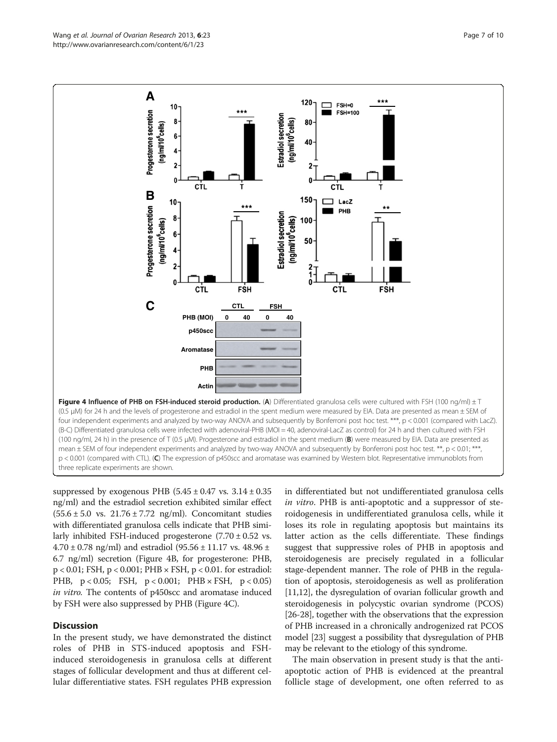<span id="page-6-0"></span>

suppressed by exogenous PHB  $(5.45 \pm 0.47 \text{ vs. } 3.14 \pm 0.35$ ng/ml) and the estradiol secretion exhibited similar effect  $(55.6 \pm 5.0 \text{ vs. } 21.76 \pm 7.72 \text{ ng/ml})$ . Concomitant studies with differentiated granulosa cells indicate that PHB similarly inhibited FSH-induced progesterone  $(7.70 \pm 0.52 \text{ vs.})$  $4.70 \pm 0.78$  ng/ml) and estradiol  $(95.56 \pm 11.17 \text{ vs. } 48.96 \pm 11.17 \text{ vs. } 10.78 \pm 11.17 \text{ vs. } 10.78 \pm 11.17 \text{ vs. } 10.78 \pm 11.17 \text{ vs. } 10.78 \pm 11.17 \text{ vs. } 10.78 \pm 11.17 \text{ vs. } 10.78 \pm 11.17 \text{ vs. } 10.78 \pm 11.17 \text{ vs. } 10.7$ 6.7 ng/ml) secretion (Figure 4B, for progesterone: PHB, p < 0.01; FSH, p < 0.001; PHB × FSH, p < 0.01. for estradiol: PHB, p < 0.05; FSH, p < 0.001; PHB × FSH, p < 0.05) in vitro. The contents of p450scc and aromatase induced by FSH were also suppressed by PHB (Figure 4C).

#### **Discussion**

In the present study, we have demonstrated the distinct roles of PHB in STS-induced apoptosis and FSHinduced steroidogenesis in granulosa cells at different stages of follicular development and thus at different cellular differentiative states. FSH regulates PHB expression

in differentiated but not undifferentiated granulosa cells in vitro. PHB is anti-apoptotic and a suppressor of steroidogenesis in undifferentiated granulosa cells, while it loses its role in regulating apoptosis but maintains its latter action as the cells differentiate. These findings suggest that suppressive roles of PHB in apoptosis and steroidogenesis are precisely regulated in a follicular stage-dependent manner. The role of PHB in the regulation of apoptosis, steroidogenesis as well as proliferation [[11](#page-8-0),[12](#page-9-0)], the dysregulation of ovarian follicular growth and steroidogenesis in polycystic ovarian syndrome (PCOS) [[26](#page-9-0)-[28\]](#page-9-0), together with the observations that the expression of PHB increased in a chronically androgenized rat PCOS model [[23](#page-9-0)] suggest a possibility that dysregulation of PHB may be relevant to the etiology of this syndrome.

The main observation in present study is that the antiapoptotic action of PHB is evidenced at the preantral follicle stage of development, one often referred to as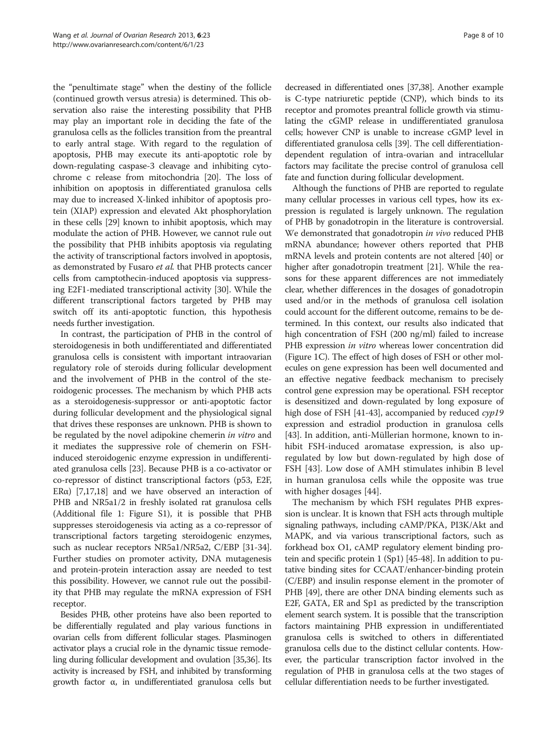the "penultimate stage" when the destiny of the follicle (continued growth versus atresia) is determined. This observation also raise the interesting possibility that PHB may play an important role in deciding the fate of the granulosa cells as the follicles transition from the preantral to early antral stage. With regard to the regulation of apoptosis, PHB may execute its anti-apoptotic role by down-regulating caspase-3 cleavage and inhibiting cytochrome c release from mitochondria [\[20](#page-9-0)]. The loss of inhibition on apoptosis in differentiated granulosa cells may due to increased X-linked inhibitor of apoptosis protein (XIAP) expression and elevated Akt phosphorylation in these cells [[29](#page-9-0)] known to inhibit apoptosis, which may modulate the action of PHB. However, we cannot rule out the possibility that PHB inhibits apoptosis via regulating the activity of transcriptional factors involved in apoptosis, as demonstrated by Fusaro et al. that PHB protects cancer cells from camptothecin-induced apoptosis via suppressing E2F1-mediated transcriptional activity [\[30\]](#page-9-0). While the different transcriptional factors targeted by PHB may switch off its anti-apoptotic function, this hypothesis needs further investigation.

In contrast, the participation of PHB in the control of steroidogenesis in both undifferentiated and differentiated granulosa cells is consistent with important intraovarian regulatory role of steroids during follicular development and the involvement of PHB in the control of the steroidogenic processes. The mechanism by which PHB acts as a steroidogenesis-suppressor or anti-apoptotic factor during follicular development and the physiological signal that drives these responses are unknown. PHB is shown to be regulated by the novel adipokine chemerin in vitro and it mediates the suppressive role of chemerin on FSHinduced steroidogenic enzyme expression in undifferentiated granulosa cells [\[23\]](#page-9-0). Because PHB is a co-activator or co-repressor of distinct transcriptional factors (p53, E2F, ER $\alpha$ ) [\[7](#page-8-0)[,17,18\]](#page-9-0) and we have observed an interaction of PHB and NR5a1/2 in freshly isolated rat granulosa cells (Additional file [1](#page-8-0): Figure S1), it is possible that PHB suppresses steroidogenesis via acting as a co-repressor of transcriptional factors targeting steroidogenic enzymes, such as nuclear receptors NR5a1/NR5a2, C/EBP [[31](#page-9-0)-[34](#page-9-0)]. Further studies on promoter activity, DNA mutagenesis and protein-protein interaction assay are needed to test this possibility. However, we cannot rule out the possibility that PHB may regulate the mRNA expression of FSH receptor.

Besides PHB, other proteins have also been reported to be differentially regulated and play various functions in ovarian cells from different follicular stages. Plasminogen activator plays a crucial role in the dynamic tissue remodeling during follicular development and ovulation [\[35,36\]](#page-9-0). Its activity is increased by FSH, and inhibited by transforming growth factor α, in undifferentiated granulosa cells but

decreased in differentiated ones [\[37,38](#page-9-0)]. Another example is C-type natriuretic peptide (CNP), which binds to its receptor and promotes preantral follicle growth via stimulating the cGMP release in undifferentiated granulosa cells; however CNP is unable to increase cGMP level in differentiated granulosa cells [\[39](#page-9-0)]. The cell differentiationdependent regulation of intra-ovarian and intracellular factors may facilitate the precise control of granulosa cell fate and function during follicular development.

Although the functions of PHB are reported to regulate many cellular processes in various cell types, how its expression is regulated is largely unknown. The regulation of PHB by gonadotropin in the literature is controversial. We demonstrated that gonadotropin in vivo reduced PHB mRNA abundance; however others reported that PHB mRNA levels and protein contents are not altered [\[40\]](#page-9-0) or higher after gonadotropin treatment [[21](#page-9-0)]. While the reasons for these apparent differences are not immediately clear, whether differences in the dosages of gonadotropin used and/or in the methods of granulosa cell isolation could account for the different outcome, remains to be determined. In this context, our results also indicated that high concentration of FSH (200 ng/ml) failed to increase PHB expression in vitro whereas lower concentration did (Figure [1C](#page-3-0)). The effect of high doses of FSH or other molecules on gene expression has been well documented and an effective negative feedback mechanism to precisely control gene expression may be operational. FSH receptor is desensitized and down-regulated by long exposure of high dose of FSH [\[41-43\]](#page-9-0), accompanied by reduced cyp19 expression and estradiol production in granulosa cells [[43](#page-9-0)]. In addition, anti-Müllerian hormone, known to inhibit FSH-induced aromatase expression, is also upregulated by low but down-regulated by high dose of FSH [\[43](#page-9-0)]. Low dose of AMH stimulates inhibin B level in human granulosa cells while the opposite was true with higher dosages [[44\]](#page-9-0).

The mechanism by which FSH regulates PHB expression is unclear. It is known that FSH acts through multiple signaling pathways, including cAMP/PKA, PI3K/Akt and MAPK, and via various transcriptional factors, such as forkhead box O1, cAMP regulatory element binding protein and specific protein 1 (Sp1) [\[45-48\]](#page-9-0). In addition to putative binding sites for CCAAT/enhancer-binding protein (C/EBP) and insulin response element in the promoter of PHB [[49](#page-9-0)], there are other DNA binding elements such as E2F, GATA, ER and Sp1 as predicted by the transcription element search system. It is possible that the transcription factors maintaining PHB expression in undifferentiated granulosa cells is switched to others in differentiated granulosa cells due to the distinct cellular contents. However, the particular transcription factor involved in the regulation of PHB in granulosa cells at the two stages of cellular differentiation needs to be further investigated.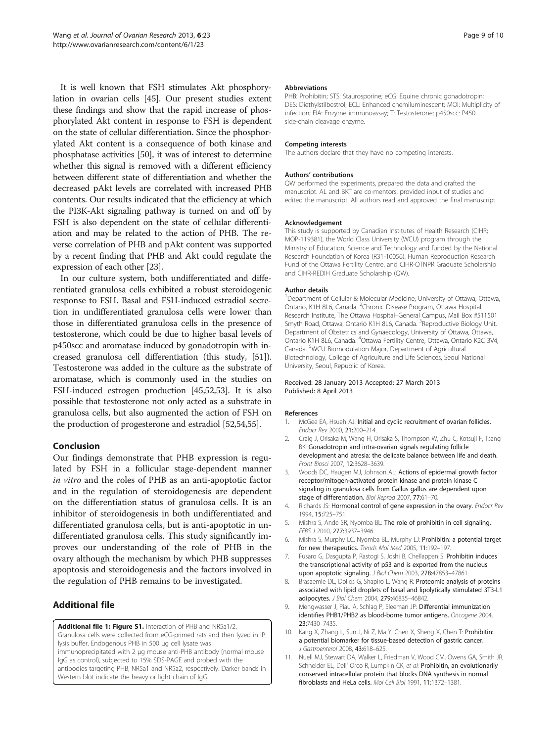<span id="page-8-0"></span>It is well known that FSH stimulates Akt phosphorylation in ovarian cells [\[45\]](#page-9-0). Our present studies extent these findings and show that the rapid increase of phosphorylated Akt content in response to FSH is dependent on the state of cellular differentiation. Since the phosphorylated Akt content is a consequence of both kinase and phosphatase activities [[50\]](#page-9-0), it was of interest to determine whether this signal is removed with a different efficiency between different state of differentiation and whether the decreased pAkt levels are correlated with increased PHB contents. Our results indicated that the efficiency at which the PI3K-Akt signaling pathway is turned on and off by FSH is also dependent on the state of cellular differentiation and may be related to the action of PHB. The reverse correlation of PHB and pAkt content was supported by a recent finding that PHB and Akt could regulate the expression of each other [[23](#page-9-0)].

In our culture system, both undifferentiated and differentiated granulosa cells exhibited a robust steroidogenic response to FSH. Basal and FSH-induced estradiol secretion in undifferentiated granulosa cells were lower than those in differentiated granulosa cells in the presence of testosterone, which could be due to higher basal levels of p450scc and aromatase induced by gonadotropin with increased granulosa cell differentiation (this study, [[51](#page-9-0)]). Testosterone was added in the culture as the substrate of aromatase, which is commonly used in the studies on FSH-induced estrogen production [[45,52,53\]](#page-9-0). It is also possible that testosterone not only acted as a substrate in granulosa cells, but also augmented the action of FSH on the production of progesterone and estradiol [\[52,54](#page-9-0),[55](#page-9-0)].

#### Conclusion

Our findings demonstrate that PHB expression is regulated by FSH in a follicular stage-dependent manner in vitro and the roles of PHB as an anti-apoptotic factor and in the regulation of steroidogenesis are dependent on the differentiation status of granulosa cells. It is an inhibitor of steroidogenesis in both undifferentiated and differentiated granulosa cells, but is anti-apoptotic in undifferentiated granulosa cells. This study significantly improves our understanding of the role of PHB in the ovary although the mechanism by which PHB suppresses apoptosis and steroidogenesis and the factors involved in the regulation of PHB remains to be investigated.

## Additional file

[Additional file 1: Figure S1.](http://www.biomedcentral.com/content/supplementary/1757-2215-6-23-S1.pptx) Interaction of PHB and NR5a1/2. Granulosa cells were collected from eCG-primed rats and then lyzed in IP lysis buffer. Endogenous PHB in 500 μg cell lysate was immunoprecipitated with 2 μg mouse anti-PHB antibody (normal mouse IgG as control), subjected to 15% SDS-PAGE and probed with the antibodies targeting PHB, NR5a1 and NR5a2, respectively. Darker bands in Western blot indicate the heavy or light chain of IgG.

#### Abbreviations

PHB: Prohibitin; STS: Staurosporine; eCG: Equine chronic gonadotropin; DES: Diethylstilbestrol; ECL: Enhanced chemiluminescent; MOI: Multiplicity of infection; EIA: Enzyme immunoassay; T: Testosterone; p450scc: P450 side-chain cleavage enzyme.

#### Competing interests

The authors declare that they have no competing interests.

#### Authors' contributions

QW performed the experiments, prepared the data and drafted the manuscript. AL and BKT are co-mentors, provided input of studies and edited the manuscript. All authors read and approved the final manuscript.

#### Acknowledgement

This study is supported by Canadian Institutes of Health Research (CIHR; MOP-119381), the World Class University (WCU) program through the Ministry of Education, Science and Technology and funded by the National Research Foundation of Korea (R31-10056), Human Reproduction Research Fund of the Ottawa Fertility Centre, and CIHR-QTNPR Graduate Scholarship and CIHR-REDIH Graduate Scholarship (QW).

#### Author details

<sup>1</sup>Department of Cellular & Molecular Medicine, University of Ottawa, Ottawa, Ontario, K1H 8L6, Canada. <sup>2</sup>Chronic Disease Program, Ottawa Hospital Research Institute, The Ottawa Hospital–General Campus, Mail Box #511501 Smyth Road, Ottawa, Ontario K1H 8L6, Canada. <sup>3</sup>Reproductive Biology Unit Department of Obstetrics and Gynaecology, University of Ottawa, Ottawa, Ontario K1H 8L6, Canada. <sup>4</sup>Ottawa Fertility Centre, Ottawa, Ontario K2C 3V4 Canada. <sup>5</sup>WCU Biomodulation Major, Department of Agricultural Biotechnology, College of Agriculture and Life Sciences, Seoul National University, Seoul, Republic of Korea.

#### Received: 28 January 2013 Accepted: 27 March 2013 Published: 8 April 2013

#### References

- 1. McGee EA, Hsueh AJ: Initial and cyclic recruitment of ovarian follicles. Endocr Rev 2000, 21:200–214.
- 2. Craig J, Orisaka M, Wang H, Orisaka S, Thompson W, Zhu C, Kotsuji F, Tsang BK: Gonadotropin and intra-ovarian signals regulating follicle development and atresia: the delicate balance between life and death. Front Biosci 2007, 12:3628–3639.
- 3. Woods DC, Haugen MJ, Johnson AL: Actions of epidermal growth factor receptor/mitogen-activated protein kinase and protein kinase C signaling in granulosa cells from Gallus gallus are dependent upon stage of differentiation. Biol Reprod 2007, 77:61–70.
- 4. Richards JS: Hormonal control of gene expression in the ovary. Endocr Rev 1994, 15:725–751.
- 5. Mishra S, Ande SR, Nyomba BL: The role of prohibitin in cell signaling. FEBS J 2010, 277:3937–3946.
- 6. Mishra S, Murphy LC, Nyomba BL, Murphy LJ: Prohibitin: a potential target for new therapeutics. Trends Mol Med 2005, 11:192–197.
- 7. Fusaro G, Dasgupta P, Rastogi S, Joshi B, Chellappan S: Prohibitin induces the transcriptional activity of p53 and is exported from the nucleus upon apoptotic signaling. J Biol Chem 2003, 278:47853-47861
- 8. Brasaemle DL, Dolios G, Shapiro L, Wang R: Proteomic analysis of proteins associated with lipid droplets of basal and lipolytically stimulated 3T3-L1 adipocytes. J Biol Chem 2004, 279:46835–46842.
- 9. Mengwasser J, Piau A, Schlag P, Sleeman JP: Differential immunization identifies PHB1/PHB2 as blood-borne tumor antigens. Oncogene 2004, 23:7430–7435.
- 10. Kang X, Zhang L, Sun J, Ni Z, Ma Y, Chen X, Sheng X, Chen T: Prohibitin: a potential biomarker for tissue-based detection of gastric cancer. J Gastroenterol 2008, 43:618–625.
- 11. Nuell MJ, Stewart DA, Walker L, Friedman V, Wood CM, Owens GA, Smith JR, Schneider EL, Dell' Orco R, Lumpkin CK, et al: Prohibitin, an evolutionarily conserved intracellular protein that blocks DNA synthesis in normal fibroblasts and HeLa cells. Mol Cell Biol 1991, 11:1372–1381.